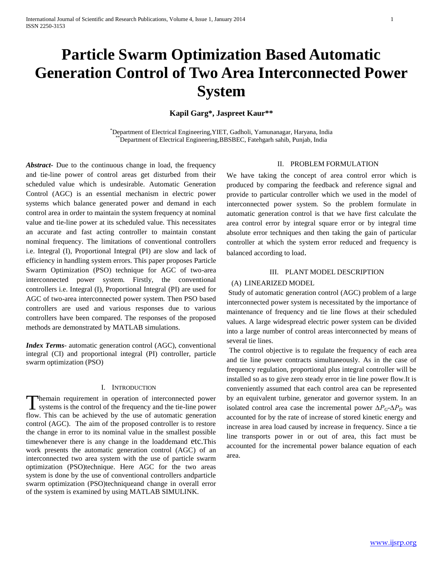# **Particle Swarm Optimization Based Automatic Generation Control of Two Area Interconnected Power System**

**Kapil Garg\*, Jaspreet Kaur\*\***

\*Department of Electrical Engineering,YIET, Gadholi, Yamunanagar, Haryana, India \*\*Department of Electrical Engineering,BBSBEC, Fatehgarh sahib, Punjab, India

*Abstract***-** Due to the continuous change in load, the frequency and tie-line power of control areas get disturbed from their scheduled value which is undesirable. Automatic Generation Control (AGC) is an essential mechanism in electric power systems which balance generated power and demand in each control area in order to maintain the system frequency at nominal value and tie-line power at its scheduled value. This necessitates an accurate and fast acting controller to maintain constant nominal frequency. The limitations of conventional controllers i.e. Integral (I), Proportional Integral (PI) are slow and lack of efficiency in handling system errors. This paper proposes Particle Swarm Optimization (PSO) technique for AGC of two-area interconnected power system. Firstly, the conventional controllers i.e. Integral (I), Proportional Integral (PI) are used for AGC of two-area interconnected power system. Then PSO based controllers are used and various responses due to various controllers have been compared. The responses of the proposed methods are demonstrated by MATLAB simulations.

*Index Terms*- automatic generation control (AGC), conventional integral (CI) and proportional integral (PI) controller, particle swarm optimization (PSO)

#### I. INTRODUCTION

hemain requirement in operation of interconnected power Themain requirement in operation of interconnected power<br>systems is the control of the frequency and the tie-line power flow. This can be achieved by the use of automatic generation control (AGC). The aim of the proposed controller is to restore the change in error to its nominal value in the smallest possible timewhenever there is any change in the loaddemand etc.This work presents the automatic generation control (AGC) of an interconnected two area system with the use of particle swarm optimization (PSO)technique. Here AGC for the two areas system is done by the use of conventional controllers andparticle swarm optimization (PSO)techniqueand change in overall error of the system is examined by using MATLAB SIMULINK.

#### II. PROBLEM FORMULATION

We have taking the concept of area control error which is produced by comparing the feedback and reference signal and provide to particular controller which we used in the model of interconnected power system. So the problem formulate in automatic generation control is that we have first calculate the area control error by integral square error or by integral time absolute error techniques and then taking the gain of particular controller at which the system error reduced and frequency is balanced according to load.

## III. PLANT MODEL DESCRIPTION

# (A) LINEARIZED MODEL

Study of automatic generation control (AGC) problem of a large interconnected power system is necessitated by the importance of maintenance of frequency and tie line flows at their scheduled values. A large widespread electric power system can be divided into a large number of control areas interconnected by means of several tie lines.

The control objective is to regulate the frequency of each area and tie line power contracts simultaneously. As in the case of frequency regulation, proportional plus integral controller will be installed so as to give zero steady error in tie line power flow.It is conveniently assumed that each control area can be represented by an equivalent turbine, generator and governor system. In an isolated control area case the incremental power *∆PG-∆P<sup>D</sup>* was accounted for by the rate of increase of stored kinetic energy and increase in area load caused by increase in frequency. Since a tie line transports power in or out of area, this fact must be accounted for the incremental power balance equation of each area.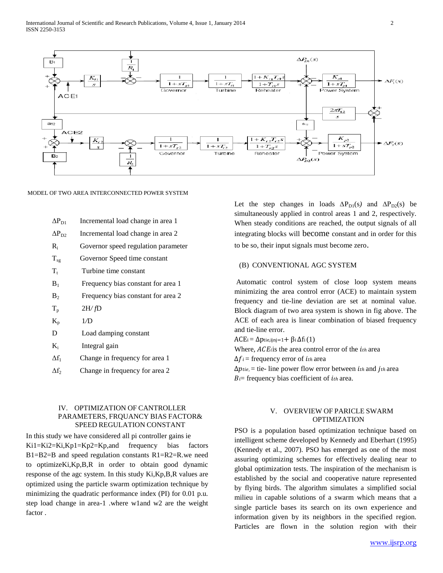

#### MODEL OF TWO AREA INTERCONNECTED POWER SYSTEM

| $\Delta \mathrm{P_{D1}}$ | Incremental load change in area 1   |
|--------------------------|-------------------------------------|
| $\Delta \rm P_{D2}$      | Incremental load change in area 2   |
| R,                       | Governor speed regulation parameter |
| $T_{sg}$                 | Governor Speed time constant        |
| $\rm T_{\rm t}$          | Turbine time constant               |
| $\rm B_1$                | Frequency bias constant for area 1  |
| $\rm B_2$                | Frequency bias constant for area 2  |
| $T_{\rm p}$              | 2H/fD                               |
| $\rm K_p$                | 1/D                                 |
| D                        | Load damping constant               |
| K,                       | Integral gain                       |
| Δf,                      | Change in frequency for area 1      |

 $\Delta f_2$  Change in frequency for area 2

# IV. OPTIMIZATION OF CANTROLLER PARAMETERS, FRQUANCY BIAS FACTOR& SPEED REGULATION CONSTANT

In this study we have considered all pi controller gains ie Ki1=Ki2=Ki,Kp1=Kp2=Kp,and frequency bias factors B1=B2=B and speed regulation constants R1=R2=R.we need to optimizeKi,Kp,B,R in order to obtain good dynamic response of the agc system. In this study Ki,Kp,B,R values are optimized using the particle swarm optimization technique by minimizing the quadratic performance index (PI) for 0.01 p.u. step load change in area-1 .where w1and w2 are the weight factor .

Let the step changes in loads  $\Delta P_{D1}(s)$  and  $\Delta P_{D2}(s)$  be simultaneously applied in control areas 1 and 2, respectively. When steady conditions are reached, the output signals of all integrating blocks will become constant and in order for this to be so, their input signals must become zero.

#### (B) CONVENTIONAL AGC SYSTEM

Automatic control system of close loop system means minimizing the area control error (ACE) to maintain system frequency and tie-line deviation are set at nominal value. Block diagram of two area system is shown in fig above. The ACE of each area is linear combination of biased frequency and tie-line error.

 $ACE = \Delta \text{ptie}, \text{ijnj}=1 + \beta \text{i} \Delta \text{fi} (1)$ Where,  $ACE$  is the area control error of the  $i$ th area  $\Delta f_i$  = frequency error of *i*th area  $\Delta p_{tie}$  = tie- line power flow error between *ith* and *jth* area  $Bi$ = frequency bias coefficient of  $i<sub>th</sub>$  area.

# V. OVERVIEW OF PARICLE SWARM OPTIMIZATION

PSO is a population based optimization technique based on intelligent scheme developed by Kennedy and Eberhart (1995) (Kennedy et al., 2007). PSO has emerged as one of the most assuring optimizing schemes for effectively dealing near to global optimization tests. The inspiration of the mechanism is established by the social and cooperative nature represented by flying birds. The algorithm simulates a simplified social milieu in capable solutions of a swarm which means that a single particle bases its search on its own experience and information given by its neighbors in the specified region. Particles are flown in the solution region with their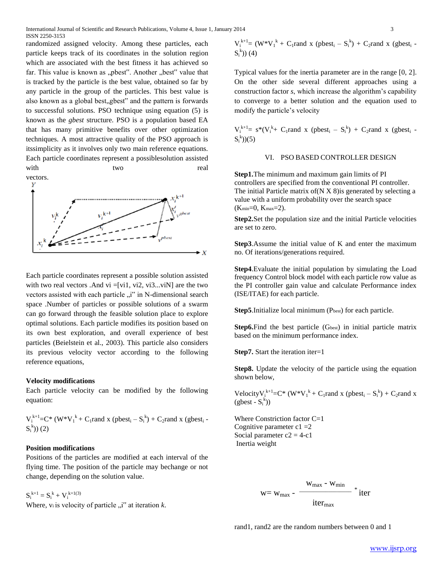International Journal of Scientific and Research Publications, Volume 4, Issue 1, January 2014 3 ISSN 2250-3153

randomized assigned velocity. Among these particles, each particle keeps track of its coordinates in the solution region which are associated with the best fitness it has achieved so far. This value is known as "pbest". Another "best" value that is tracked by the particle is the best value, obtained so far by any particle in the group of the particles. This best value is also known as a global best, gbest" and the pattern is forwards to successful solutions. PSO technique using equation (5) is known as the *gbest* structure. PSO is a population based EA that has many primitive benefits over other optimization techniques. A most attractive quality of the PSO approach is itssimplicity as it involves only two main reference equations. Each particle coordinates represent a possiblesolution assisted with two two real



Each particle coordinates represent a possible solution assisted with two real vectors .And vi =[vi1, vi2, vi3...viN] are the two vectors assisted with each particle "i" in N-dimensional search space .Number of particles or possible solutions of a swarm can go forward through the feasible solution place to explore optimal solutions. Each particle modifies its position based on its own best exploration, and overall experience of best particles (Beielstein et al., 2003). This particle also considers its previous velocity vector according to the following reference equations,

## **Velocity modifications**

Each particle velocity can be modified by the following equation:

 $V_i^{k+1}$ =C\* (W\* $V_i^k$ + C<sub>1</sub>rand x (pbest<sub>i</sub> – S<sub>i</sub><sup>b</sup>) + C<sub>2</sub>rand x (gbest<sub>i</sub> –  $S_i^{\,k})$  (2)

#### **Position modifications**

Positions of the particles are modified at each interval of the flying time. The position of the particle may bechange or not change, depending on the solution value.

 $S_i^{k+1} = S_i^k + V_i^{k+1(3)}$ 

Where,  $v_i$  is velocity of particle  $n$ <sup>"</sup> at iteration  $k$ .

 $V_i^{k+1} = (W^*V_i^k + C_1$ rand x (pbest<sub>i</sub> –  $S_i^k$ ) + C<sub>2</sub>rand x (gbest<sub>i</sub> –  $S_i$ k )) (4)

Typical values for the inertia parameter are in the range [0, 2]. On the other side several different approaches using a construction factor *s*, which increase the algorithm's capability to converge to a better solution and the equation used to modify the particle's velocity

 $V_i^{k+1} = s^*(V_i^k + C_1$ rand x (pbest<sub>i</sub> –  $S_i^k$ ) +  $C_2$ rand x (gbest<sub>i</sub> –  $S_i^{\{k\}}(5)$ 

#### VI. PSO BASED CONTROLLER DESIGN

**Step1.**The minimum and maximum gain limits of PI controllers are specified from the conventional PI controller. The initial Particle matrix of  $(N X 8)$  is generated by selecting a value with a uniform probability over the search space  $(K_{min}=0, K_{max}=2)$ .

**Step2.**Set the population size and the initial Particle velocities are set to zero.

**Step3**.Assume the initial value of K and enter the maximum no. Of iterations/generations required.

**Step4**.Evaluate the initial population by simulating the Load frequency Control block model with each particle row value as the PI controller gain value and calculate Performance index (ISE/ITAE) for each particle.

Step5.Initialize local minimum (Pbest) for each particle.

**Step6.**Find the best particle (G<sub>best</sub>) in initial particle matrix based on the minimum performance index.

**Step7.** Start the iteration iter=1

**Step8.** Update the velocity of the particle using the equation shown below,

Velocity $V_i^{k+1} = C^* (W^* V_i^k + C_1$ rand x (pbest<sub>i</sub> – S<sub>i</sub><sup>k</sup>) + C<sub>2</sub>rand x  $(gbest - S_i^k)$ 

Where Constriction factor C=1 Cognitive parameter  $c1 = 2$ Social parameter  $c2 = 4-c1$ Inertia weight

$$
w = w_{max} - \frac{w_{max} - w_{min}}{iter_{max}} * iter
$$

rand1, rand2 are the random numbers between 0 and 1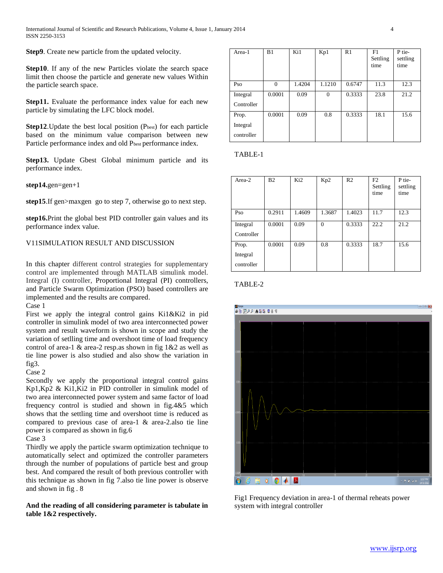**Step9**. Create new particle from the updated velocity.

**Step10**. If any of the new Particles violate the search space limit then choose the particle and generate new values Within the particle search space.

**Step11.** Evaluate the performance index value for each new particle by simulating the LFC block model.

**Step12**. Update the best local position (Pbest) for each particle based on the minimum value comparison between new Particle performance index and old Pbest performance index.

**Step13.** Update Gbest Global minimum particle and its performance index.

**step14.**gen=gen+1

**step15**.If gen>maxgen go to step 7, otherwise go to next step.

**step16.**Print the global best PID controller gain values and its performance index value.

# V11SIMULATION RESULT AND DISCUSSION

In this chapter different control strategies for supplementary control are implemented through MATLAB simulink model. Integral (I) controller, Proportional Integral (PI) controllers, and Particle Swarm Optimization (PSO) based controllers are implemented and the results are compared.

Case 1

First we apply the integral control gains Ki1&Ki2 in pid controller in simulink model of two area interconnected power system and result waveform is shown in scope and study the variation of setlling time and overshoot time of load frequency control of area-1 & area-2 resp.as shown in fig 1&2 as well as tie line power is also studied and also show the variation in fig3.

Case 2

Secondly we apply the proportional integral control gains Kp1,Kp2 & Ki1,Ki2 in PID controller in simulink model of two area interconnected power system and same factor of load frequency control is studied and shown in fig.4&5 which shows that the settling time and overshoot time is reduced as compared to previous case of area-1 & area-2.also tie line power is compared as shown in fig.6

#### Case 3

Thirdly we apply the particle swarm optimization technique to automatically select and optimized the controller parameters through the number of populations of particle best and group best. And compared the result of both previous controller with this technique as shown in fig 7.also tie line power is observe and shown in fig . 8

# **And the reading of all considering parameter is tabulate in table 1&2 respectively.**

| Area-1     | B1       | Ki1    | Kp1            | R1     | F1<br>Settling<br>time | P tie-<br>settling<br>time |
|------------|----------|--------|----------------|--------|------------------------|----------------------------|
| Pso        | $\Omega$ | 1.4204 | 1.1210         | 0.6747 | 11.3                   | 12.3                       |
| Integral   | 0.0001   | 0.09   | $\overline{0}$ | 0.3333 | 23.8                   | 21.2                       |
| Controller |          |        |                |        |                        |                            |
| Prop.      | 0.0001   | 0.09   | 0.8            | 0.3333 | 18.1                   | 15.6                       |
| Integral   |          |        |                |        |                        |                            |
| controller |          |        |                |        |                        |                            |

TABLE-1

| Area-2                          | B <sub>2</sub> | Ki <sub>2</sub> | Kp2      | R <sub>2</sub> | F2<br>Settling<br>time | P tie-<br>settling<br>time |
|---------------------------------|----------------|-----------------|----------|----------------|------------------------|----------------------------|
| Pso                             | 0.2911         | 1.4609          | 1.3687   | 1.4023         | 11.7                   | 12.3                       |
| Integral<br>Controller          | 0.0001         | 0.09            | $\theta$ | 0.3333         | 22.2                   | 21.2                       |
| Prop.<br>Integral<br>controller | 0.0001         | 0.09            | 0.8      | 0.3333         | 18.7                   | 15.6                       |

#### TABLE-2



Fig1 Frequency deviation in area-1 of thermal reheats power system with integral controller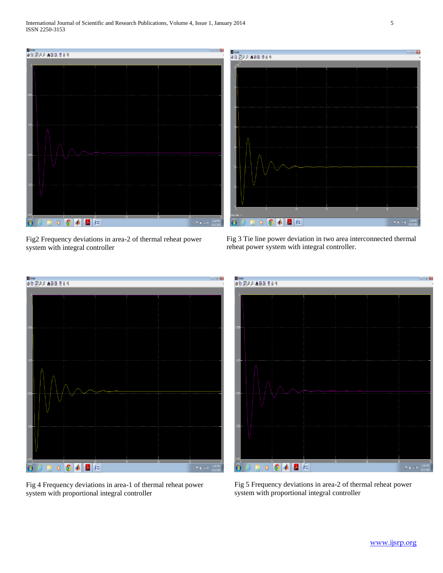

Fig2 Frequency deviations in area-2 of thermal reheat power system with integral controller

Fig 3 Tie line power deviation in two area interconnected thermal reheat power system with integral controller.



Fig 4 Frequency deviations in area-1 of thermal reheat power system with proportional integral controller

 $\mathbb{P}(\mathbb{R}^d)$  :

Fig 5 Frequency deviations in area-2 of thermal reheat power system with proportional integral controller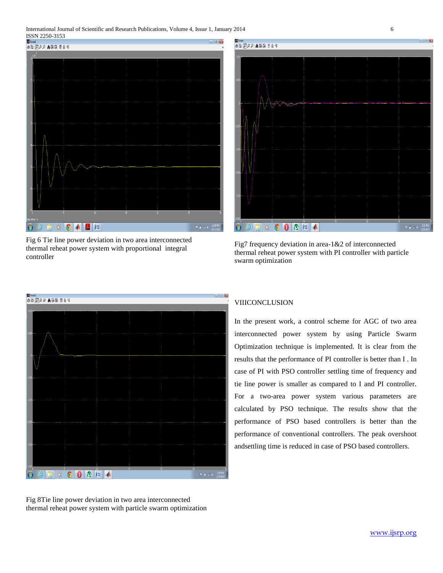International Journal of Scientific and Research Publications, Volume 4, Issue 1, January 2014 6 **ISSN 2250-3153** 



Fig 6 Tie line power deviation in two area interconnected thermal reheat power system with proportional integral controller



Fig7 frequency deviation in area-1&2 of interconnected thermal reheat power system with PI controller with particle swarm optimization



Fig 8Tie line power deviation in two area interconnected thermal reheat power system with particle swarm optimization

# VIIICONCLUSION

In the present work, a control scheme for AGC of two area interconnected power system by using Particle Swarm Optimization technique is implemented. It is clear from the results that the performance of PI controller is better than I . In case of PI with PSO controller settling time of frequency and tie line power is smaller as compared to I and PI controller. For a two-area power system various parameters are calculated by PSO technique. The results show that the performance of PSO based controllers is better than the performance of conventional controllers. The peak overshoot andsettling time is reduced in case of PSO based controllers.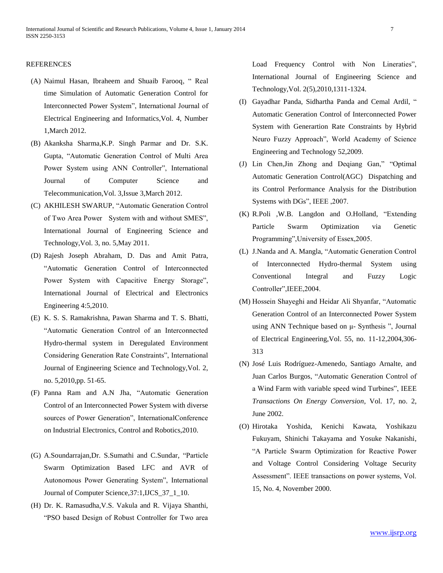# REFERENCES

- (A) Naimul Hasan, Ibraheem and Shuaib Farooq, " Real time Simulation of Automatic Generation Control for Interconnected Power System", International Journal of Electrical Engineering and Informatics,Vol. 4, Number 1,March 2012.
- (B) Akanksha Sharma,K.P. Singh Parmar and Dr. S.K. Gupta, "Automatic Generation Control of Multi Area Power System using ANN Controller", International Journal of Computer Science and Telecommunication,Vol. 3,Issue 3,March 2012.
- (C) AKHILESH SWARUP, "Automatic Generation Control of Two Area Power System with and without SMES", International Journal of Engineering Science and Technology,Vol. 3, no. 5,May 2011.
- (D) Rajesh Joseph Abraham, D. Das and Amit Patra, "Automatic Generation Control of Interconnected Power System with Capacitive Energy Storage", International Journal of Electrical and Electronics Engineering 4:5,2010.
- (E) K. S. S. Ramakrishna, Pawan Sharma and T. S. Bhatti, "Automatic Generation Control of an Interconnected Hydro-thermal system in Deregulated Environment Considering Generation Rate Constraints", International Journal of Engineering Science and Technology,Vol. 2, no. 5,2010,pp. 51-65.
- (F) Panna Ram and A.N Jha, "Automatic Generation Control of an Interconnected Power System with diverse sources of Power Generation", InternationalConference on Industrial Electronics, Control and Robotics,2010.
- (G) A.Soundarrajan,Dr. S.Sumathi and C.Sundar, "Particle Swarm Optimization Based LFC and AVR of Autonomous Power Generating System", International Journal of Computer Science,37:1,IJCS\_37\_1\_10.
- (H) Dr. K. Ramasudha,V.S. Vakula and R. Vijaya Shanthi, "PSO based Design of Robust Controller for Two area

Load Frequency Control with Non Lineraties", International Journal of Engineering Science and Technology,Vol. 2(5),2010,1311-1324.

- (I) Gayadhar Panda, Sidhartha Panda and Cemal Ardil, " Automatic Generation Control of Interconnected Power System with Generartion Rate Constraints by Hybrid Neuro Fuzzy Approach", World Academy of Science Engineering and Technology 52,2009.
- (J) Lin Chen,Jin Zhong and Deqiang Gan," "Optimal Automatic Generation Control(AGC) Dispatching and its Control Performance Analysis for the Distribution Systems with DGs", IEEE ,2007.
- (K) R.Poli ,W.B. Langdon and O.Holland, "Extending Particle Swarm Optimization via Genetic Programming",University of Essex,2005.
- (L) J.Nanda and A. Mangla, "Automatic Generation Control of Interconnected Hydro-thermal System using Conventional Integral and Fuzzy Logic Controller",IEEE,2004.
- (M) Hossein Shayeghi and Heidar Ali Shyanfar, "Automatic Generation Control of an Interconnected Power System using ANN Technique based on μ- Synthesis ", Journal of Electrical Engineering,Vol. 55, no. 11-12,2004,306- 313
- (N) José Luis Rodríguez-Amenedo, Santiago Arnalte, and Juan Carlos Burgos, "Automatic Generation Control of a Wind Farm with variable speed wind Turbines", IEEE *Transactions On Energy Conversion*, Vol. 17, no. 2, June 2002.
- (O) Hirotaka Yoshida, Kenichi Kawata, Yoshikazu Fukuyam, Shinichi Takayama and Yosuke Nakanishi, "A Particle Swarm Optimization for Reactive Power and Voltage Control Considering Voltage Security Assessment". IEEE transactions on power systems, Vol. 15, No. 4, November 2000.